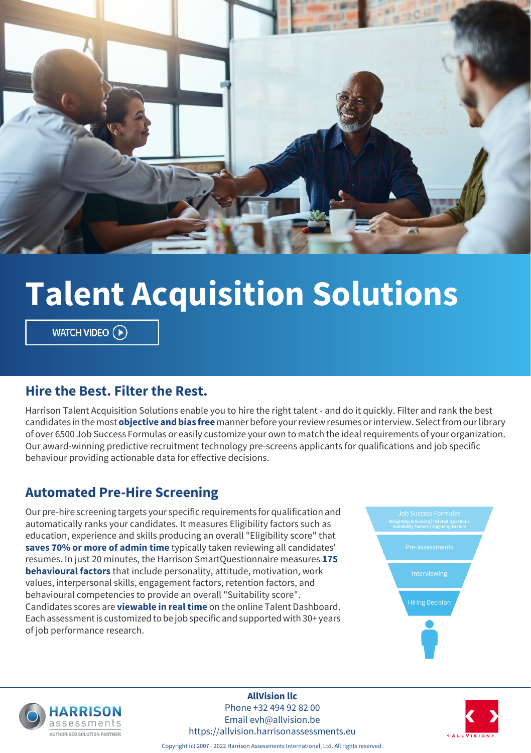

# **Talent Acquisition Solutions**

WATCH VIDEO  $\left(\widehat{\mathbf{P}}\right)$ 

#### **Hire the Best. Filter the Rest.**

Harrison Talent Acquisition Solutions enable you to hire the right talent - and do it quickly. Filter and rank the best candidates in the most **objective and bias free** manner before your review resumes or interview. Select from our library of over 6500 Job Success Formulas or easily customize your own to match the ideal requirements of your organization. Our award-winning predictive recruitment technology pre-screens applicants for qualifications and job specific behaviour providing actionable data for effective decisions.

#### **Automated Pre-Hire Screening**

Our pre-hire screening targets your specific requirements for qualification and automatically ranks your candidates. It measures Eligibility factors such as education, experience and skills producing an overall "Eligibility score" that **saves 70% or more of admin time** typically taken reviewing all candidates' resumes. In just 20 minutes, the Harrison SmartQuestionnaire measures **175 behavioural factors** that include personality, attitude, motivation, work values, interpersonal skills, engagement factors, retention factors, and behavioural competencies to provide an overall "Suitability score". Candidates scores are **viewable in real time** on the online Talent Dashboard. Each assessment is customized to be job specific and supported with 30+ years of job performance research.





**AllVision llc** Phone +32 494 92 82 00 Email evh@allvision.be https://allvision.harrisonassessments.eu



Copyright (c) 2007 - 2022 Harrison Assessments International, Ltd. All rights reserved.